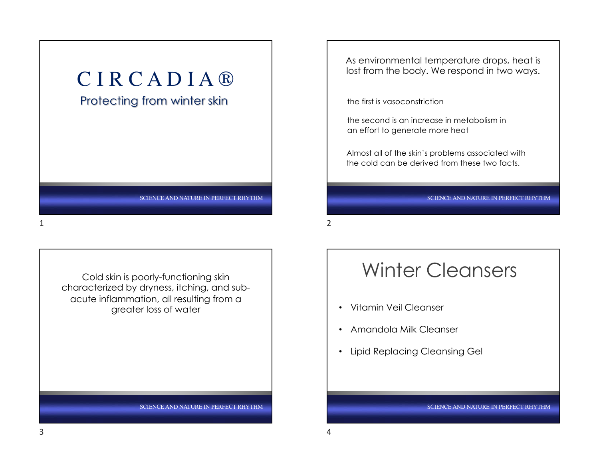

Cold skin is poorly-functioning skin characterized by dryness, itching, and subacute inflammation, all resulting from a greater loss of water

SCIENCE AND NATURE IN PERFECT RHYTHM

As environmental temperature drops, heat is lost from the body. We respond in two ways.

the first is vasoconstriction

the second is an increase in metabolism in an effort to generate more heat

Almost all of the skin's problems associated with the cold can be derived from these two facts.

SCIENCE AND NATURE IN PERFECT RHYTHM

2

# Winter Cleansers

- Vitamin Veil Cleanser
- Amandola Milk Cleanser
- Lipid Replacing Cleansing Gel

SCIENCE AND NATURE IN PERFECT RHYTHM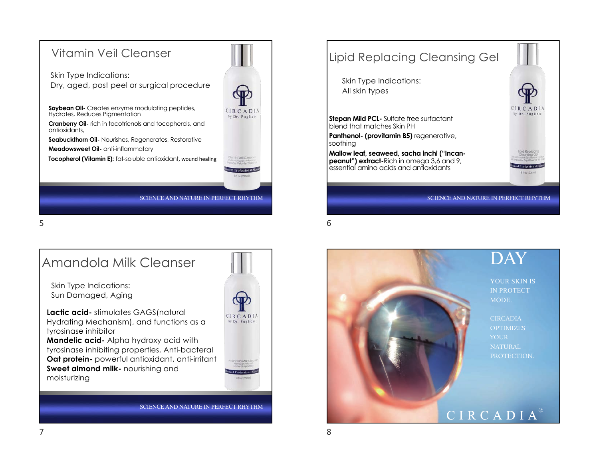





SCIENCE AND NATURE IN PERFECT RHYTHM



YOUR SKIN IS IN PROTECT

MODE.

DAY

**CIRCADIA OPTIMIZES** YOUR **NATURAL** PROTECTION.

# SCIENCE AND IA<sup>®</sup>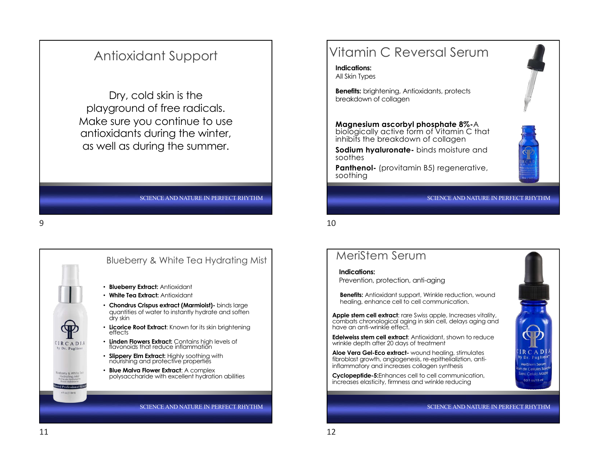## Antioxidant Support

Dry, cold skin is the playground of free radicals. Make sure you continue to use antioxidants during the winter, as well as during the summer.

SCIENCE AND NATURE IN PERFECT RHYTHM

9



## Vitamin C Reversal Serum

**Indications:**  All Skin Types

**Benefits:** brightening, Antioxidants, protects breakdown of collagen

**Magnesium ascorbyl phosphate 8%-**A biologically active form of Vitamin C that inhibits the breakdown of collagen

**Sodium hyaluronate-** binds moisture and soothes

**Panthenol-** (provitamin B5) regenerative, soothing

SCIENCE AND NATURE IN PERFECT RHYTHM

10

### MeriStem Serum

#### **Indications:**

Prevention, protection, anti-aging

**Benefits:** Antioxidant support, Wrinkle reduction, wound healing, enhance cell to cell communication.

**Apple stem cell extract**: rare Swiss apple, Increases vitality, combats chronological aging in skin cell, delays aging and have an anti-wrinkle effect.

**Edelweiss stem cell extract**: Antioxidant, shown to reduce wrinkle depth after 20 days of treatment

**Aloe Vera Gel-Eco extract-** wound healing, stimulates fibroblast growth, angiogenesis, re-epithelializtion, antiinflammatory and increases collagen synthesis

**Cyclopeptide-5:**Enhances cell to cell communication, increases elasticity, firmness and wrinkle reducing

SCIENCE AND NATURE IN PERFECT RHYTHM



ro Celula M<mark>ad</mark>ie 0.5.6 oz/15 ml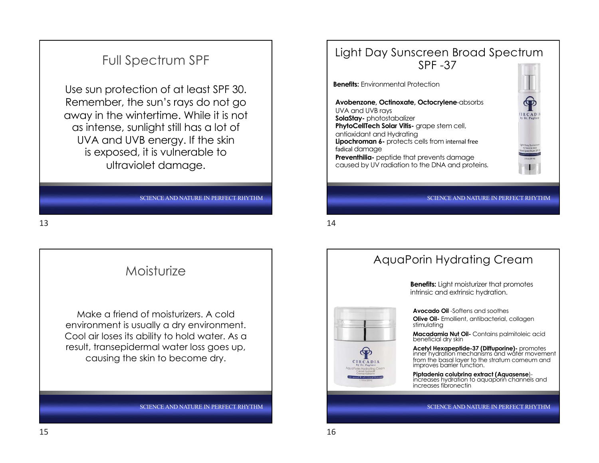## Full Spectrum SPF

Use sun protection of at least SPF 30. Remember, the sun's rays do not go away in the wintertime. While it is not as intense, sunlight still has a lot of UVA and UVB energy. If the skin is exposed, it is vulnerable to ultraviolet damage.

SCIENCE AND NATURE IN PERFECT RHYTHM

13



# Light Day Sunscreen Broad Spectrum SPF -37

**Benefits:** Environmental Protection

**Avobenzone, Octinoxate, Octocrylene**-absorbs UVA and UVB rays **SolaStay-** photostabalizer **PhytoCellTech Solar Vitis-** grape stem cell, antioxidant and Hydrating **Lipochroman 6-** protects cells from internal free fadical damage **Preventhilia-** peptide that prevents damage caused by UV radiation to the DNA and proteins.

SCIENCE AND NATURE IN PERFECT RHYTHM

R C A D<br>Dr. Puglis

14

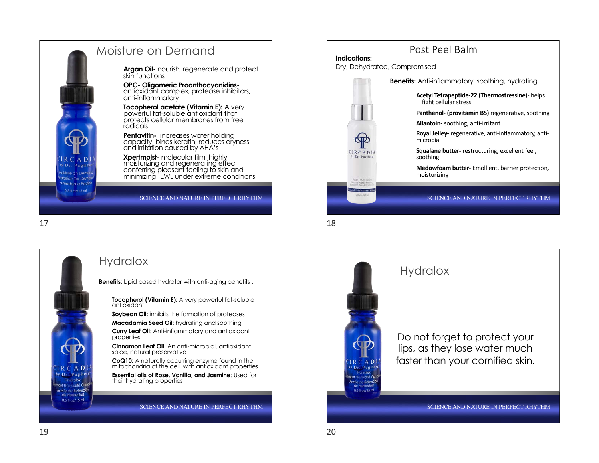

### Moisture on Demand **Argan Oil-** nourish, regenerate and protect skin functions **OPC- Oligomeric Proanthocyanidins-** antioxidant complex, protease inhibitors, anti-inflammatory **Tocopherol acetate (Vitamin E):** A very powerful fat-soluble antioxidant that protects cellular membranes from free radicals **Pentavitin-** increases water holding<br>capacity, binds keratin, reduces dryness<br>and irritation caused by AHA's **Xpertmoist-** molecular film, highly moisturizing and regenerating effect conferring pleasant feeling to skin and minimizing TEWL under extreme conditions

SCIENCE AND NATURE IN PERFECT RHYTHM

### **Hydralox**

**Benefits:** Lipid based hydrator with anti-aging benefits.

**Tocopherol (Vitamin E):** A very powerful fat-soluble antioxidant

**Soybean Oil:** inhibits the formation of proteases

**Macadamia Seed Oil**: hydrating and soothing

**Curry Leaf Oil**: Anti-inflammatory and antioxidant properties

**Cinnamon Leaf Oil**: An anti-microbial, antioxidant spice, natural preservative

**CoQ10**: A naturally occurring enzyme found in the mitochondria of the cell, with antioxidant properties

**Essential oils of Rose, Vanilla, and Jasmine**: Used for their hydrating properties

SCIENCE AND NATURE IN PERFECT RHYTHM



18



IRCAD by Dr. Puglies

**Hydralox** 

nant l'Hurniclité Comp Aceite de Retención de Humedad  $0.5$  fl  $\alpha$ z/15 ml